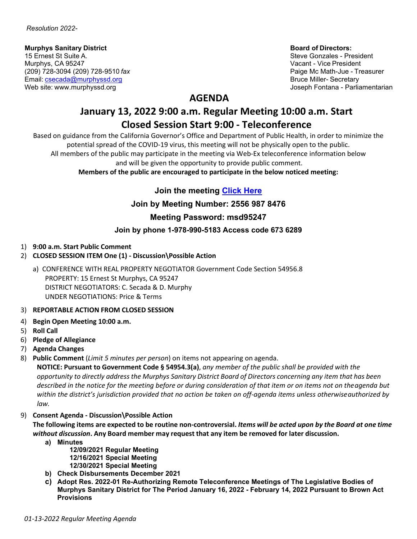# **Murphys Sanitary District Sanitary District Board of Directors:<br>15 Ernest St Suite A. All and Directors: All and Directors: All and Directors: All and Directors: All and Directors<br>15 Ernest St Suite A. All and Directors:**

15 Ernest St Suite A. Suite A. Suite A. Steve Gonzales - President Arrent Arrent Arrent Arrent Arrent Arrent A<br>Steve Gonzales - President Arrent Arrent Arrent Arrent Arrent Arrent Arrent Arrent Arrent Arrent Arrent Arrent (209) 728-3094 (209) 728-9510 *fax* Paige Mc Math-Jue - Treasurer Email: **[csecada@murphyssd.org](mailto:csecada@murphyssd.org)** Bruce Miller- Secretary Bruce Miller- Secretary

Vacant - Vice President Web site: [www.murphyssd.org](http://www.murphyssd.org/) Joseph Fontana - Parliamentarian

## **AGENDA**

# **January 13, 2022 9:00 a.m. Regular Meeting 10:00 a.m. Start Closed Session Start 9:00 - Teleconference**

Based on guidance from the California Governor's Office and Department of Public Health, in order to minimize the potential spread of the COVID-19 virus, this meeting will not be physically open to the public. All members of the public may participate in the meeting via Web-Ex teleconference information below and will be given the opportunity to provide public comment.

**Members of the public are encouraged to participate in the below noticed meeting:**

### **Join the meeting [Click Here](https://murphyssanitarydistrict.my.webex.com/murphyssanitarydistrict.my/j.php?MTID=md1c394a01b5ce1f72e238770c797ab69)**

#### **Join by Meeting Number: 2556 987 8476**

#### **Meeting Password: msd95247**

#### **Join by phone 1-978-990-5183 Access code 673 6289**

- 1) **9:00 a.m. Start Public Comment**
- 2) **CLOSED SESSION ITEM One (1) - Discussion\Possible Action**
	- a) CONFERENCE WITH REAL PROPERTY NEGOTIATOR Government Code Section 54956.8 PROPERTY: 15 Ernest St Murphys, CA 95247 DISTRICT NEGOTIATORS: C. Secada & D. Murphy UNDER NEGOTIATIONS: Price & Terms
- 3) **REPORTABLE ACTION FROM CLOSED SESSION**
- 4) **Begin Open Meeting 10:00 a.m.**
- 5) **Roll Call**
- 6) **Pledge of Allegiance**
- 7) **Agenda Changes**
- 8) **Public Comment** (*Limit 5 minutes per person*) on items not appearing on agenda.

**NOTICE: Pursuant to Government Code § 54954.3(a)**, *any member of the public shall be provided with the* opportunity to directly address the Murphys Sanitary District Board of Directors concerning any item that has been *described in the notice for the meeting before or during consideration of that item or on items not on theagenda but within the district's jurisdiction provided that no action be taken on off-agenda items unless otherwiseauthorized by law.*

9) **Consent Agenda - Discussion\Possible Action**

The following items are expected to be routine non-controversial. Items will be acted upon by the Board at one time *without discussion***. Any Board member may request that any item be removed for later discussion.**

- **a) Minutes**
	- **12/09/2021 Regular Meeting 12/16/2021 Special Meeting 12/30/2021 Special Meeting**
- **b) Check Disbursements December 2021**
- **c) Adopt Res. 2022-01 Re-Authorizing Remote Teleconference Meetings of The Legislative Bodies of Murphys Sanitary District for The Period January 16, 2022 - February 14, 2022 Pursuant to Brown Act Provisions**